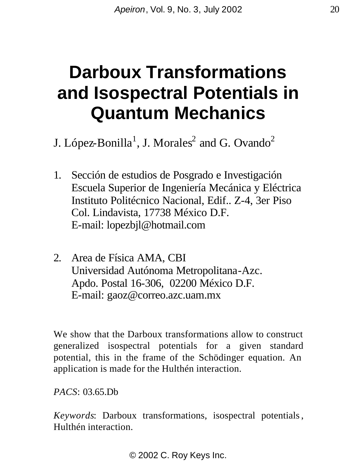# **Darboux Transformations and Isospectral Potentials in Quantum Mechanics**

J. López-Bonilla<sup>1</sup>, J. Morales<sup>2</sup> and G. Ovando<sup>2</sup>

- 1. Sección de estudios de Posgrado e Investigación Escuela Superior de Ingeniería Mecánica y Eléctrica Instituto Politécnico Nacional, Edif.. Z-4, 3er Piso Col. Lindavista, 17738 México D.F. E-mail: lopezbjl@hotmail.com
- 2. Area de Física AMA, CBI Universidad Autónoma Metropolitana-Azc. Apdo. Postal 16-306, 02200 México D.F. E-mail: gaoz@correo.azc.uam.mx

We show that the Darboux transformations allow to construct generalized isospectral potentials for a given standard potential, this in the frame of the Schödinger equation. An application is made for the Hulthén interaction.

*PACS*: 03.65.Db

*Keywords*: Darboux transformations, isospectral potentials, Hulthén interaction.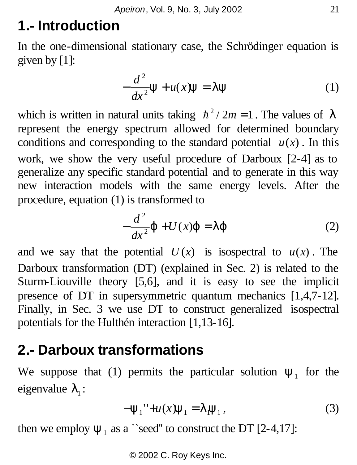## **1.- Introduction**

In the one-dimensional stationary case, the Schrödinger equation is given by [1]:

$$
-\frac{d^2}{dx^2}\mathbf{y} + u(x)\mathbf{y} = \mathbf{I}\mathbf{y}
$$
 (1)

which is written in natural units taking  $\hbar^2 / 2m = 1$ . The values of *l* represent the energy spectrum allowed for determined boundary conditions and corresponding to the standard potential  $u(x)$ . In this work, we show the very useful procedure of Darboux [2-4] as to generalize any specific standard potential and to generate in this way new interaction models with the same energy levels. After the procedure, equation (1) is transformed to

$$
-\frac{d^2}{dx^2}\mathbf{j} + U(x)\mathbf{j} = \mathbf{l}\mathbf{j}
$$
 (2)

and we say that the potential  $U(x)$  is isospectral to  $u(x)$ . The Darboux transformation (DT) (explained in Sec. 2) is related to the Sturm-Liouville theory [5,6], and it is easy to see the implicit presence of DT in supersymmetric quantum mechanics [1,4,7-12]. Finally, in Sec. 3 we use DT to construct generalized isospectral potentials for the Hulthén interaction [1,13-16].

### **2.- Darboux transformations**

We suppose that (1) permits the particular solution  $y_1$  for the  $eigenvalue$   $I_1$ :

$$
-y_1'' + u(x)y_1 = I_y, \tag{3}
$$

then we employ  $y_1$  as a "seed" to construct the DT [2-4,17]: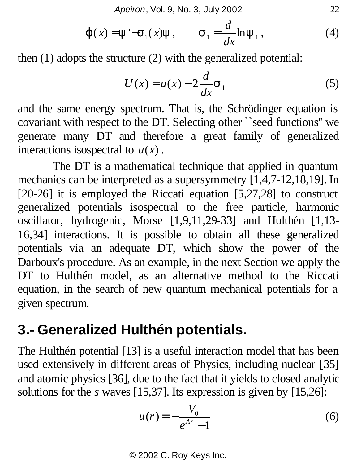*Apeiron*, Vol. 9, No. 3, July 2002 22

$$
\mathbf{j}(x) = \mathbf{y}' - \mathbf{s}_1(x)\mathbf{y}, \qquad \mathbf{s}_1 = \frac{d}{dx}\ln \mathbf{y}_1, \tag{4}
$$

then (1) adopts the structure (2) with the generalized potential:

$$
U(x) = u(x) - 2\frac{d}{dx}\mathbf{S}_1
$$
 (5)

and the same energy spectrum. That is, the Schrödinger equation is covariant with respect to the DT. Selecting other ``seed functions'' we generate many DT and therefore a great family of generalized interactions isospectral to  $u(x)$ .

The DT is a mathematical technique that applied in quantum mechanics can be interpreted as a supersymmetry [1,4,7-12,18,19]. In [20-26] it is employed the Riccati equation [5,27,28] to construct generalized potentials isospectral to the free particle, harmonic oscillator, hydrogenic, Morse [1,9,11,29-33] and Hulthén [1,13- 16,34] interactions. It is possible to obtain all these generalized potentials via an adequate DT, which show the power of the Darboux's procedure. As an example, in the next Section we apply the DT to Hulthén model, as an alternative method to the Riccati equation, in the search of new quantum mechanical potentials for a given spectrum.

#### **3.- Generalized Hulthén potentials.**

The Hulthén potential [13] is a useful interaction model that has been used extensively in different areas of Physics, including nuclear [35] and atomic physics [36], due to the fact that it yields to closed analytic solutions for the *s* waves [15,37]. Its expression is given by [15,26]:

$$
u(r) = -\frac{V_0}{e^{Ar} - 1}
$$
 (6)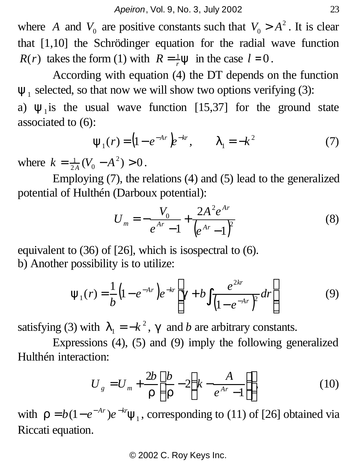where *A* and  $V_0$  are positive constants such that  $V_0 > A^2$ . It is clear that [1,10] the Schrödinger equation for the radial wave function *R*(*r*) takes the form (1) with  $R = \frac{1}{r}y$  in the case  $l = 0$ .

According with equation (4) the DT depends on the function  $y_1$  selected, so that now we will show two options verifying (3):

a)  $y_1$  is the usual wave function [15,37] for the ground state associated to (6):

$$
\mathbf{y}_1(r) = (1 - e^{-Ar})e^{-kr}, \qquad \mathbf{I}_1 = -k^2 \tag{7}
$$

where  $k = \frac{1}{24}(V_0 - A^2) > 0$  $k = \frac{1}{2A}(V_0 - A^2) > 0$ .

Employing (7), the relations (4) and (5) lead to the generalized potential of Hulthén (Darboux potential):

$$
U_m = -\frac{V_0}{e^{Ar} - 1} + \frac{2A^2 e^{Ar}}{\left(e^{Ar} - 1\right)^2}
$$
 (8)

equivalent to (36) of [26], which is isospectral to (6). b) Another possibility is to utilize:

$$
\mathbf{y}_1(r) = \frac{1}{b} \left( 1 - e^{-Ar} \right) e^{-kr} \left[ \mathbf{g} + b \int \frac{e^{2kr}}{\left( 1 - e^{-Ar} \right)^2} dr \right] \tag{9}
$$

satisfying (3) with  $I_1 = -k^2$ , **g** and *b* are arbitrary constants.

Expressions (4), (5) and (9) imply the following generalized Hulthén interaction:

$$
U_g = U_m + \frac{2b}{r} \left[ \frac{b}{r} - 2 \left( k - \frac{A}{e^{Ar} - 1} \right) \right],
$$
 (10)

with  $\mathbf{r} = b(1 - e^{-Ar})e^{-kr} \mathbf{y}_1$ , corresponding to (11) of [26] obtained via Riccati equation.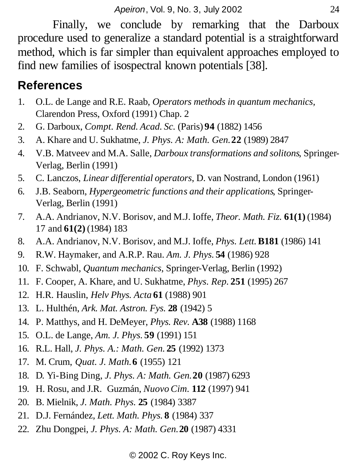Finally, we conclude by remarking that the Darboux procedure used to generalize a standard potential is a straightforward method, which is far simpler than equivalent approaches employed to find new families of isospectral known potentials [38].

#### **References**

- 1. O.L. de Lange and R.E. Raab, *Operators methods in quantum mechanics,*  Clarendon Press, Oxford (1991) Chap. 2
- 2. G. Darboux, *Compt. Rend. Acad. Sc.* (Paris) **94** (1882) 1456
- 3. A. Khare and U. Sukhatme, *J. Phys. A: Math. Gen.***22** (1989) 2847
- 4. V.B. Matveev and M.A. Salle, *Darboux transformations and solitons*, Springer-Verlag, Berlin (1991)
- 5. C. Lanczos, *Linear differential operators*, D. van Nostrand, London (1961)
- 6. J.B. Seaborn, *Hypergeometric functions and their applications*, Springer-Verlag, Berlin (1991)
- 7. A.A. Andrianov, N.V. Borisov, and M.J. Ioffe, *Theor. Math. Fiz.* **61(1)** (1984) 17 and **61(2)** (1984) 183
- 8. A.A. Andrianov, N.V. Borisov, and M.J. Ioffe, *Phys. Lett.***B181** (1986) 141
- 9. R.W. Haymaker, and A.R.P. Rau. *Am. J. Phys.* **54** (1986) 928
- 10. F. Schwabl, *Quantum mechanics*, Springer-Verlag, Berlin (1992)
- 11. F. Cooper, A. Khare, and U. Sukhatme, *Phys. Rep.* **251** (1995) 267
- 12. H.R. Hauslin, *Helv Phys. Acta* **61** (1988) 901
- 13. L. Hulthén, *Ark. Mat. Astron. Fys.* **28** (1942) 5
- 14. P. Matthys, and H. DeMeyer, *Phys. Rev.* **A38** (1988) 1168
- 15. O.L. de Lange, *Am. J. Phys.* **59** (1991) 151
- 16. R.L. Hall, *J. Phys. A.: Math. Gen.* **25** (1992) 1373
- 17. M. Crum, *Quat. J. Math.***6** (1955) 121
- 18. D. Yi-Bing Ding, *J. Phys. A: Math. Gen.***20** (1987) 6293
- 19. H. Rosu, and J.R. Guzmán, *Nuovo Cim.* **112** (1997) 941
- 20. B. Mielnik, *J. Math. Phys.* **25** (1984) 3387
- 21. D.J. Fernández, *Lett. Math. Phys.* **8** (1984) 337
- 22. Zhu Dongpei, *J. Phys. A: Math. Gen.***20** (1987) 4331